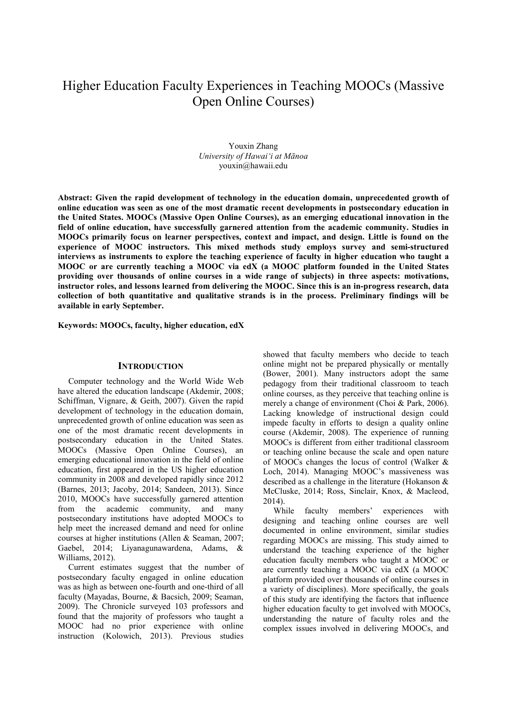# Higher Education Faculty Experiences in Teaching MOOCs (Massive Open Online Courses)

Youxin Zhang *University of Hawai'i at Mānoa* youxin@hawaii.edu

**Abstract: Given the rapid development of technology in the education domain, unprecedented growth of online education was seen as one of the most dramatic recent developments in postsecondary education in the United States. MOOCs (Massive Open Online Courses), as an emerging educational innovation in the field of online education, have successfully garnered attention from the academic community. Studies in MOOCs primarily focus on learner perspectives, context and impact, and design. Little is found on the experience of MOOC instructors. This mixed methods study employs survey and semi-structured interviews as instruments to explore the teaching experience of faculty in higher education who taught a MOOC or are currently teaching a MOOC via edX (a MOOC platform founded in the United States providing over thousands of online courses in a wide range of subjects) in three aspects: motivations, instructor roles, and lessons learned from delivering the MOOC. Since this is an in-progress research, data collection of both quantitative and qualitative strands is in the process. Preliminary findings will be available in early September.** 

**Keywords: MOOCs, faculty, higher education, edX** 

## **INTRODUCTION**

Computer technology and the World Wide Web have altered the education landscape (Akdemir, 2008; Schiffman, Vignare, & Geith, 2007). Given the rapid development of technology in the education domain, unprecedented growth of online education was seen as one of the most dramatic recent developments in postsecondary education in the United States. MOOCs (Massive Open Online Courses), an emerging educational innovation in the field of online education, first appeared in the US higher education community in 2008 and developed rapidly since 2012 (Barnes, 2013; Jacoby, 2014; Sandeen, 2013). Since 2010, MOOCs have successfully garnered attention from the academic community, and many postsecondary institutions have adopted MOOCs to help meet the increased demand and need for online courses at higher institutions (Allen & Seaman, 2007; Gaebel, 2014; Liyanagunawardena, Adams, & Williams, 2012).

Current estimates suggest that the number of postsecondary faculty engaged in online education was as high as between one-fourth and one-third of all faculty (Mayadas, Bourne, & Bacsich, 2009; Seaman, 2009). The Chronicle surveyed 103 professors and found that the majority of professors who taught a MOOC had no prior experience with online instruction (Kolowich, 2013). Previous studies

showed that faculty members who decide to teach online might not be prepared physically or mentally (Bower, 2001). Many instructors adopt the same pedagogy from their traditional classroom to teach online courses, as they perceive that teaching online is merely a change of environment (Choi & Park, 2006). Lacking knowledge of instructional design could impede faculty in efforts to design a quality online course (Akdemir, 2008). The experience of running MOOCs is different from either traditional classroom or teaching online because the scale and open nature of MOOCs changes the locus of control (Walker & Loch, 2014). Managing MOOC's massiveness was described as a challenge in the literature (Hokanson & McCluske, 2014; Ross, Sinclair, Knox, & Macleod, 2014).

While faculty members' experiences with designing and teaching online courses are well documented in online environment, similar studies regarding MOOCs are missing. This study aimed to understand the teaching experience of the higher education faculty members who taught a MOOC or are currently teaching a MOOC via edX (a MOOC platform provided over thousands of online courses in a variety of disciplines). More specifically, the goals of this study are identifying the factors that influence higher education faculty to get involved with MOOCs, understanding the nature of faculty roles and the complex issues involved in delivering MOOCs, and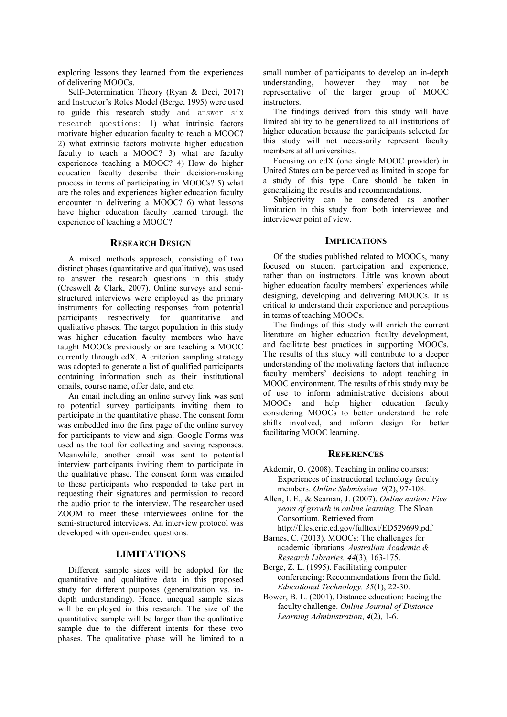exploring lessons they learned from the experiences of delivering MOOCs.

Self-Determination Theory (Ryan & Deci, 2017) and Instructor's Roles Model (Berge, 1995) were used to guide this research study and answer six research questions: 1) what intrinsic factors motivate higher education faculty to teach a MOOC? 2) what extrinsic factors motivate higher education faculty to teach a MOOC? 3) what are faculty experiences teaching a MOOC? 4) How do higher education faculty describe their decision-making process in terms of participating in MOOCs? 5) what are the roles and experiences higher education faculty encounter in delivering a MOOC? 6) what lessons have higher education faculty learned through the experience of teaching a MOOC?

## **RESEARCH DESIGN**

A mixed methods approach, consisting of two distinct phases (quantitative and qualitative), was used to answer the research questions in this study (Creswell & Clark, 2007). Online surveys and semistructured interviews were employed as the primary instruments for collecting responses from potential participants respectively for quantitative and qualitative phases. The target population in this study was higher education faculty members who have taught MOOCs previously or are teaching a MOOC currently through edX. A criterion sampling strategy was adopted to generate a list of qualified participants containing information such as their institutional emails, course name, offer date, and etc.

An email including an online survey link was sent to potential survey participants inviting them to participate in the quantitative phase. The consent form was embedded into the first page of the online survey for participants to view and sign. Google Forms was used as the tool for collecting and saving responses. Meanwhile, another email was sent to potential interview participants inviting them to participate in the qualitative phase. The consent form was emailed to these participants who responded to take part in requesting their signatures and permission to record the audio prior to the interview. The researcher used ZOOM to meet these interviewees online for the semi-structured interviews. An interview protocol was developed with open-ended questions.

## **LIMITATIONS**

Different sample sizes will be adopted for the quantitative and qualitative data in this proposed study for different purposes (generalization vs. indepth understanding). Hence, unequal sample sizes will be employed in this research. The size of the quantitative sample will be larger than the qualitative sample due to the different intents for these two phases. The qualitative phase will be limited to a

small number of participants to develop an in-depth understanding, however they may not be representative of the larger group of MOOC instructors.

The findings derived from this study will have limited ability to be generalized to all institutions of higher education because the participants selected for this study will not necessarily represent faculty members at all universities.

Focusing on edX (one single MOOC provider) in United States can be perceived as limited in scope for a study of this type. Care should be taken in generalizing the results and recommendations.

Subjectivity can be considered as another limitation in this study from both interviewee and interviewer point of view.

#### **IMPLICATIONS**

Of the studies published related to MOOCs, many focused on student participation and experience, rather than on instructors. Little was known about higher education faculty members' experiences while designing, developing and delivering MOOCs. It is critical to understand their experience and perceptions in terms of teaching MOOCs.

The findings of this study will enrich the current literature on higher education faculty development, and facilitate best practices in supporting MOOCs. The results of this study will contribute to a deeper understanding of the motivating factors that influence faculty members' decisions to adopt teaching in MOOC environment. The results of this study may be of use to inform administrative decisions about MOOCs and help higher education faculty considering MOOCs to better understand the role shifts involved, and inform design for better facilitating MOOC learning.

## **REFERENCES**

- Akdemir, O. (2008). Teaching in online courses: Experiences of instructional technology faculty members. *Online Submission, 9*(2), 97-108.
- Allen, I. E., & Seaman, J. (2007). *Online nation: Five years of growth in online learning.* The Sloan Consortium. Retrieved from
- http://files.eric.ed.gov/fulltext/ED529699.pdf Barnes, C. (2013). MOOCs: The challenges for
- academic librarians. *Australian Academic & Research Libraries, 44*(3), 163-175.
- Berge, Z. L. (1995). Facilitating computer conferencing: Recommendations from the field. *Educational Technology, 35*(1), 22-30.
- Bower, B. L. (2001). Distance education: Facing the faculty challenge. *Online Journal of Distance Learning Administration*, *4*(2), 1-6.